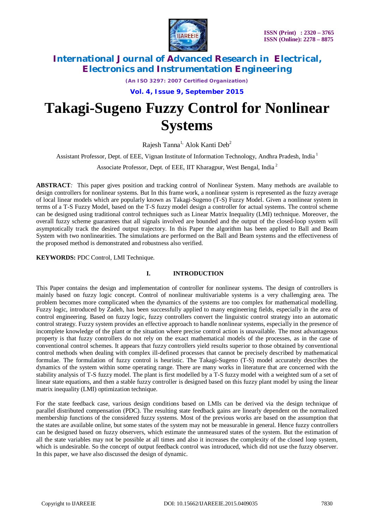

*(An ISO 3297: 2007 Certified Organization)*

**Vol. 4, Issue 9, September 2015**

# **Takagi-Sugeno Fuzzy Control for Nonlinear Systems**

Rajesh Tanna<sup>1,</sup> Alok Kanti Deb<sup>2</sup>

Assistant Professor, Dept. of EEE, Vignan Institute of Information Technology, Andhra Pradesh, India <sup>1</sup>

Associate Professor, Dept. of EEE, IIT Kharagpur, West Bengal, India <sup>2</sup>

**ABSTRACT***:* This paper gives position and tracking control of Nonlinear System. Many methods are available to design controllers for nonlinear systems. But In this frame work, a nonlinear system is represented as the fuzzy average of local linear models which are popularly known as Takagi-Sugeno (T-S) Fuzzy Model. Given a nonlinear system in terms of a T-S Fuzzy Model, based on the T-S fuzzy model design a controller for actual systems. The control scheme can be designed using traditional control techniques such as Linear Matrix Inequality (LMI) technique. Moreover, the overall fuzzy scheme guarantees that all signals involved are bounded and the output of the closed-loop system will asymptotically track the desired output trajectory. In this Paper the algorithm has been applied to Ball and Beam System with two nonlinearities. The simulations are performed on the Ball and Beam systems and the effectiveness of the proposed method is demonstrated and robustness also verified.

**KEYWORDS:** PDC Control, LMI Technique.

### **I. INTRODUCTION**

This Paper contains the design and implementation of controller for nonlinear systems. The design of controllers is mainly based on fuzzy logic concept. Control of nonlinear multivariable systems is a very challenging area. The problem becomes more complicated when the dynamics of the systems are too complex for mathematical modelling. Fuzzy logic, introduced by Zadeh, has been successfully applied to many engineering fields, especially in the area of control engineering. Based on fuzzy logic, fuzzy controllers convert the linguistic control strategy into an automatic control strategy. Fuzzy system provides an effective approach to handle nonlinear systems, especially in the presence of incomplete knowledge of the plant or the situation where precise control action is unavailable. The most advantageous property is that fuzzy controllers do not rely on the exact mathematical models of the processes, as in the case of conventional control schemes. It appears that fuzzy controllers yield results superior to those obtained by conventional control methods when dealing with complex ill-defined processes that cannot be precisely described by mathematical formulae. The formulation of fuzzy control is heuristic. The Takagi-Sugeno (T-S) model accurately describes the dynamics of the system within some operating range. There are many works in literature that are concerned with the stability analysis of T-S fuzzy model. The plant is first modelled by a T-S fuzzy model with a weighted sum of a set of linear state equations, and then a stable fuzzy controller is designed based on this fuzzy plant model by using the linear matrix inequality (LMI) optimization technique.

For the state feedback case, various design conditions based on LMIs can be derived via the design technique of parallel distributed compensation (PDC). The resulting state feedback gains are linearly dependent on the normalized membership functions of the considered fuzzy systems. Most of the previous works are based on the assumption that the states are available online, but some states of the system may not be measurable in general. Hence fuzzy controllers can be designed based on fuzzy observers, which estimate the unmeasured states of the system. But the estimation of all the state variables may not be possible at all times and also it increases the complexity of the closed loop system, which is undesirable. So the concept of output feedback control was introduced, which did not use the fuzzy observer. In this paper, we have also discussed the design of dynamic.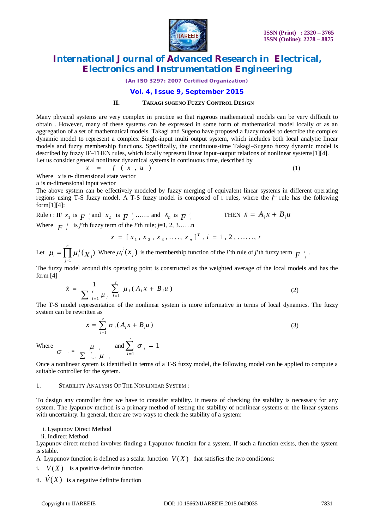

*(An ISO 3297: 2007 Certified Organization)*

### **Vol. 4, Issue 9, September 2015**

#### **II. TAKAGI SUGENO FUZZY CONTROL DESIGN**

Many physical systems are very complex in practice so that rigorous mathematical models can be very difficult to obtain . However, many of these systems can be expressed in some form of mathematical model locally or as an aggregation of a set of mathematical models. Takagi and Sugeno have proposed a fuzzy model to describe the complex dynamic model to represent a complex Single-input multi output system, which includes both local analytic linear models and fuzzy membership functions. Specifically, the continuous-time Takagi–Sugeno fuzzy dynamic model is described by fuzzy IF–THEN rules, which locally represent linear input–output relations of nonlinear systems[1][4]. Let us consider general nonlinear dynamical systems in continuous time, described by

$$
\dot{x} = f(x, u) \tag{1}
$$

Where *x* is *n*- dimensional state vector

*u* is *m*-dimensional input vector

The above system can be effectively modeled by fuzzy merging of equivalent linear systems in different operating regions using T-S fuzzy model. A T-S fuzzy model is composed of r rules, where the  $j<sup>th</sup>$  rule has the following form[1][4]:

Rule *i* : IF  $x_1$  is  $F_{-1}^i$  and  $x_2$  is  $F_{-2}^i$  $F^{-i}$  …….. and  $\mathcal{X}_n$  is  $F^{-i}$ THEN  $\dot{x} = A_i x + B_i u$ Where  $F_i^j$  is *j*'th fuzzy term of the *i*'th rule; *j*=1, 2, 3……n

$$
x = [x_1, x_2, x_3, \ldots, x_n]^T, i = 1, 2, \ldots, r
$$

Let 1  $(\chi_{\scriptscriptstyle i})^{\scriptscriptstyle \top}$  $\prod$ <sup>*j*</sup>  $\mu_i = \prod_{j=1}^n \mu_i^j(\chi_j)$  Where  $\mu_i^j(x_j)$  is the membership function of the *i*'th rule of *j*'th fuzzy term  $F^{-i}$ .

The fuzzy model around this operating point is constructed as the weighted average of the local models and has the form [4]

$$
\dot{x} = \frac{1}{\sum_{i=1}^{r} \mu_i} \sum_{i=1}^{r} \mu_i (A_i x + B_i u)
$$
 (2)

The T-S model representation of the nonlinear system is more informative in terms of local dynamics. The fuzzy system can be rewritten as

$$
\dot{x} = \sum_{i=1}^{r} \sigma_i (A_i x + B_i u)
$$
\n(3)

Where  $\sigma_i = \frac{\mu_i}{\sum_{i=1}^r \mu_i}$ 

1  $i = 1$   $\mu$   $i$  $=$   $\overline{\Sigma}$ Once a nonlinear system is identified in terms of a T-S fuzzy model, the following model can be applied to compute a suitable controller for the system.

#### 1. STABILITY ANALYSIS OF THE NONLINEAR SYSTEM :

and

1

*i*

*i*

σ  $\sum_{i=1}$   $\sigma_i$  =

To design any controller first we have to consider stability. It means of checking the stability is necessary for any system. The lyapunov method is a primary method of testing the stability of nonlinear systems or the linear systems with uncertainty. In general, there are two ways to check the stability of a system:

i. Lyapunov Direct Method

ii. Indirect Method

Lyapunov direct method involves finding a Lyapunov function for a system. If such a function exists, then the system is stable.

A Lyapunov function is defined as a scalar function  $V(X)$  that satisfies the two conditions:

1

- i.  $V(X)$  is a positive definite function
- ii.  $\dot{V}(X)$  is a negative definite function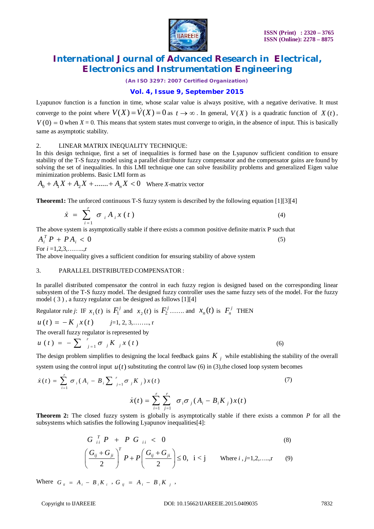

*(An ISO 3297: 2007 Certified Organization)*

### **Vol. 4, Issue 9, September 2015**

Lyapunov function is a function in time, whose scalar value is always positive, with a negative derivative. It must converge to the point where  $V(X) = V(X) = 0$  as  $t \to \infty$ . In general,  $V(X)$  is a quadratic function of  $X(t)$ ,  $V(0) = 0$  when  $X = 0$ . This means that system states must converge to origin, in the absence of input. This is basically same as asymptotic stability.

#### 2. LINEAR MATRIX INEQUALITY TECHNIQUE:

In this design technique, first a set of inequalities is formed base on the Lyapunov sufficient condition to ensure stability of the T-S fuzzy model using a parallel distributor fuzzy compensator and the compensator gains are found by solving the set of inequalities. In this LMI technique one can solve feasibility problems and generalized Eigen value minimization problems. Basic LMI form as

$$
A_0 + A_1 X + A_2 X + \dots + A_n X < 0 \quad \text{Where } X \text{-matrix vector}
$$

**Theorem1:** The unforced continuous T-S fuzzy system is described by the following equation [1][3][4]

$$
\dot{x} = \sum_{i=1}^{r} \sigma_i A_i x(t) \tag{4}
$$

The above system is asymptotically stable if there exists a common positive definite matrix P such that

 $A_i^T P + P A_i < 0$  (5) For  $i = 1, 2, 3, \ldots, r$ 

The above inequality gives a sufficient condition for ensuring stability of above system

#### 3. PARALLEL DISTRIBUTED COMPENSATOR:

In parallel distributed compensator the control in each fuzzy region is designed based on the corresponding linear subsystem of the T-S fuzzy model. The designed fuzzy controller uses the same fuzzy sets of the model. For the fuzzy model ( 3 ) , a fuzzy regulator can be designed as follows [1][4]

Regulator rule *j*: IF  $x_1(t)$  is  $F_1^j$  and  $x_2(t)$  is  $F_2^j$  … and  $x_n(t)$  is  $F_n^j$  THEN

$$
u(t) = -K_{j}x(t) \qquad j=1, 2, 3, \dots, r
$$

The overall fuzzy regulator is represented by

$$
u(t) = -\sum_{j=1}^{r} \sigma_{j} K_{j} x(t) \tag{6}
$$

The design problem simplifies to designing the local feedback gains  $K_i$  while establishing the stability of the overall system using the control input  $u(t)$  substituting the control law (6) in (3), the closed loop system becomes

$$
\dot{x}(t) = \sum_{i=1}^{r} \sigma_i (A_i - B_i \sum_{j=1}^{r} \sigma_j K_j) x(t)
$$
\n
$$
\dot{x}(t) = \sum_{i=1}^{r} \sum_{j=1}^{r} \sigma_i \sigma_j (A_i - B_i K_j) x(t)
$$
\n(7)

**Theorem 2:** The closed fuzzy system is globally is asymptotically stable if there exists a common *P* for all the subsystems which satisfies the following Lyapunov inequalities[4]:

$$
G_{ii}^T P + P G_{ii} < 0
$$
\n
$$
\left(\frac{G_{ij} + G_{ji}}{2}\right)^T P + P\left(\frac{G_{ij} + G_{ji}}{2}\right) \le 0, \ i < j \quad \text{Where } i, j = 1, 2, \dots, r \quad (9)
$$

Where  $G_{ii} = A_i - B_i K_i$ ,  $G_{ij} = A_i - B_i K_j$ ,

 $\begin{pmatrix} 2 & 1 \\ 2 & 2 \end{pmatrix}$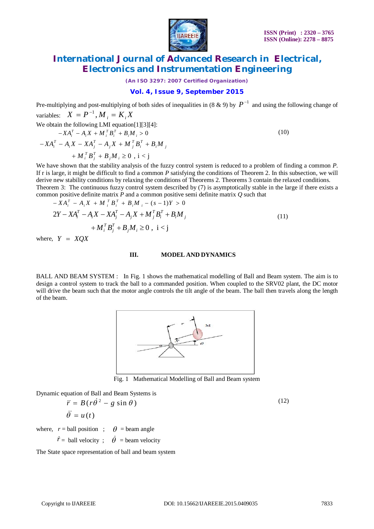

*(An ISO 3297: 2007 Certified Organization)*

### **Vol. 4, Issue 9, September 2015**

Pre-multiplying and post-multiplying of both sides of inequalities in (8 & 9) by  $P^{-1}$  and using the following change of variables:  $X = P^{-1}$ ,  $M_i = K_i X$ 

We obtain the following LMI equation[1][3][4]:

$$
-XA_{i}^{T} - A_{i}X + M_{i}^{T}B_{i}^{T} + B_{i}M_{i} > 0
$$
  

$$
-XA_{i}^{T} - A_{i}X - XA_{j}^{T} - A_{j}X + M_{j}^{T}B_{i}^{T} + B_{i}M_{j}
$$
  

$$
+ M_{i}^{T}B_{j}^{T} + B_{j}M_{i} \ge 0, i < j
$$

(10)

We have shown that the stability analysis of the fuzzy control system is reduced to a problem of finding a common *P*. If r is large, it might be difficult to find a common *P* satisfying the conditions of Theorem 2. In this subsection, we will derive new stability conditions by relaxing the conditions of Theorems 2. Theorems 3 contain the relaxed conditions. Theorem 3: The continuous fuzzy control system described by (7) is asymptotically stable in the large if there exists a common positive definite matrix *P* and a common positive semi definite matrix *Q* such that

$$
-XA_{i}^{T} - A_{i}X + M_{i}^{T}B_{i}^{T} + B_{i}M_{i} - (s-1)Y > 0
$$
  
\n
$$
2Y - XA_{i}^{T} - A_{i}X - XA_{j}^{T} - A_{j}X + M_{j}^{T}B_{i}^{T} + B_{i}M_{j}
$$
  
\n
$$
+ M_{i}^{T}B_{j}^{T} + B_{j}M_{i} \ge 0, \ i < j
$$
\n(11)

where,  $Y = XOX$ 

#### **III. MODEL AND DYNAMICS**

BALL AND BEAM SYSTEM : In Fig. 1 shows the mathematical modelling of Ball and Beam system. The aim is to design a control system to track the ball to a commanded position. When coupled to the SRV02 plant, the DC motor will drive the beam such that the motor angle controls the tilt angle of the beam. The ball then travels along the length of the beam.



Fig. 1 Mathematical Modelling of Ball and Beam system

Dynamic equation of Ball and Beam Systems is

$$
\ddot{r} = B(r\dot{\theta}^2 - g\sin\theta)
$$
  
\n
$$
\ddot{\theta} = u(t)
$$
\n(12)

where,  $r =$  ball position ;  $\theta =$  beam angle

 $\dot{r}$  = ball velocity;  $\dot{\theta}$  = beam velocity

The State space representation of ball and beam system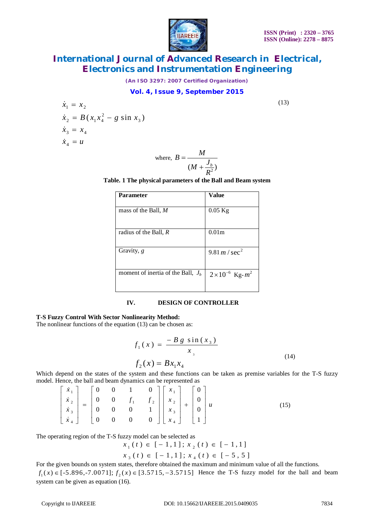

*(An ISO 3297: 2007 Certified Organization)*

### **Vol. 4, Issue 9, September 2015**

(13)

$$
\dot{x}_1 = x_2
$$
\n
$$
\dot{x}_2 = B(x_1 x_4^2 - g \sin x_3)
$$
\n
$$
\dot{x}_3 = x_4
$$
\n
$$
\dot{x}_4 = u
$$

where, 
$$
B = \frac{M}{(M + \frac{J_b}{R^2})}
$$

**Table. 1 The physical parameters of the Ball and Beam system**

| <b>Parameter</b>                     | Value                            |
|--------------------------------------|----------------------------------|
| mass of the Ball, M                  | $0.05$ Kg                        |
| radius of the Ball, R                | 0.01 <sub>m</sub>                |
| Gravity, $g$                         | 9.81 <i>m</i> / sec <sup>2</sup> |
| moment of inertia of the Ball, $J_h$ | $2 \times 10^{-6}$ Kg- $m^2$     |

### **IV. DESIGN OF CONTROLLER**

#### **T-S Fuzzy Control With Sector Nonlinearity Method:**

The nonlinear functions of the equation (13) can be chosen as:

$$
f_1(x) = \frac{-B g \sin(x_3)}{x_3}
$$
  
\n
$$
f_2(x) = B x_1 x_4
$$
 (14)

Which depend on the states of the system and these functions can be taken as premise variables for the T-S fuzzy model. Hence, the ball and beam dynamics can be represented as

$$
\begin{bmatrix} \dot{x}_1 \\ \dot{x}_2 \\ \dot{x}_3 \\ \dot{x}_4 \end{bmatrix} = \begin{bmatrix} 0 & 0 & 1 & 0 \\ 0 & 0 & f_1 & f_2 \\ 0 & 0 & 0 & 1 \\ 0 & 0 & 0 & 0 \end{bmatrix} \begin{bmatrix} x_1 \\ x_2 \\ x_3 \\ x_4 \end{bmatrix} + \begin{bmatrix} 0 \\ 0 \\ 0 \\ 1 \end{bmatrix} u
$$
 (15)

The operating region of the T-S fuzzy model can be selected as

$$
x_1(t) \in [-1,1]; x_2(t) \in [-1,1]
$$
  

$$
x_3(t) \in [-1,1]; x_4(t) \in [-5,5]
$$

For the given bounds on system states, therefore obtained the maximum and minimum value of all the functions.  $f_1(x) \in [-5.896, -7.0071]$ ;  $f_2(x) \in [3.5715, -3.5715]$  Hence the T-S fuzzy model for the ball and beam system can be given as equation (16).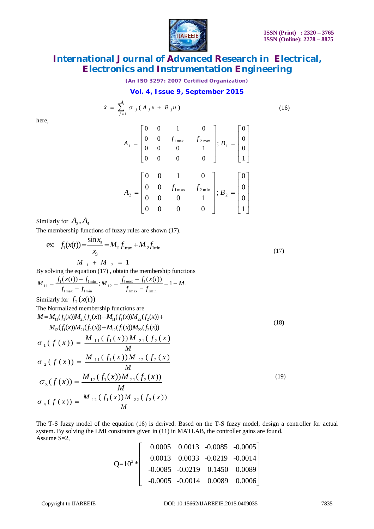

*(An ISO 3297: 2007 Certified Organization)*

### **Vol. 4, Issue 9, September 2015**

$$
\dot{x} = \sum_{j=1}^{4} \sigma_{j} (A_{j} x + B_{j} u)
$$
 (16)

here,

$$
A_{1} = \begin{bmatrix} 0 & 0 & 1 & 0 \\ 0 & 0 & f_{1\max} & f_{2\max} \\ 0 & 0 & 0 & 1 \\ 0 & 0 & 0 & 0 \end{bmatrix}; B_{1} = \begin{bmatrix} 0 \\ 0 \\ 0 \\ 1 \end{bmatrix}
$$

$$
A_{2} = \begin{bmatrix} 0 & 0 & 1 & 0 \\ 0 & 0 & f_{1\max} & f_{2\min} \\ 0 & 0 & 0 & 1 \\ 0 & 0 & 0 & 0 \end{bmatrix}; B_{2} = \begin{bmatrix} 0 \\ 0 \\ 0 \\ 1 \end{bmatrix}
$$

Similarly for  $A_3, A_4$ 

The membership functions of fuzzy rules are shown (17).

ex: 
$$
f_1(x(t)) = \frac{\sin x_3}{x_3} = M_{11} f_{1\text{max}} + M_{12} f_{1\text{min}}
$$
  
\n $M_{11} + M_{22} = 1$  (17)

By solving the equation (17) , obtain the membership functions

$$
M_{11} = \frac{f_1(x(t)) - f_{1\min}}{f_{1\max} - f_{1\min}}; M_{12} = \frac{f_{1\max} - f_1(x(t))}{f_{1\max} - f_{1\min}} = 1 - M_1
$$

Similarly for  $f_2(x(t))$ 

The Normalized membership functions are  
\n
$$
M = M_{11}(f_1(x))M_{21}(f_2(x)) + M_{11}(f_1(x))M_{22}(f_2(x)) + M_{12}(f_1(x))M_{22}(f_2(x))
$$
\n
$$
M_{12}(f_1(x))M_{21}(f_2(x)) + M_{12}(f_1(x))M_{22}(f_2(x))
$$
\n
$$
\sigma_1(f(x)) = \frac{M_{11}(f_1(x))M_{21}(f_2(x))}{M}
$$
\n
$$
\sigma_2(f(x)) = \frac{M_{12}(f_1(x))M_{21}(f_2(x))}{M}
$$
\n
$$
\sigma_3(f(x)) = \frac{M_{12}(f_1(x))M_{21}(f_2(x))}{M}
$$
\n(19)\n
$$
\sigma_4(f(x)) = \frac{M_{12}(f_1(x))M_{22}(f_2(x))}{M}
$$

The T-S fuzzy model of the equation (16) is derived. Based on the T-S fuzzy model, design a controller for actual system. By solving the LMI constraints given in (11) in MATLAB, the controller gains are found.  $\overrightarrow{\text{Assume}}$  S=2.

$$
Q=10^{3}*\n\begin{bmatrix}\n0.0005 & 0.0013 & -0.0085 & -0.0005 \\
0.0013 & 0.0033 & -0.0219 & -0.0014 \\
-0.0085 & -0.0219 & 0.1450 & 0.0089 \\
-0.0005 & -0.0014 & 0.0089 & 0.0006\n\end{bmatrix}
$$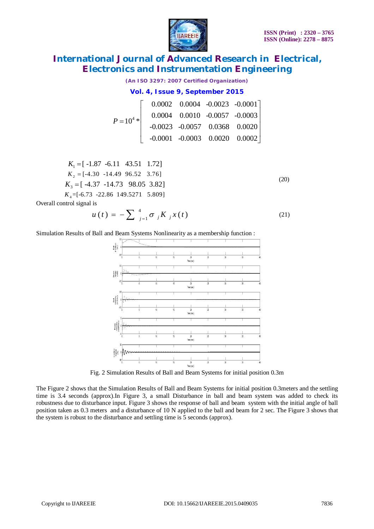(20)



# **International Journal of Advanced Research in Electrical, Electronics and Instrumentation Engineering**

*(An ISO 3297: 2007 Certified Organization)*

## **Vol. 4, Issue 9, September 2015**

|                |  | $0.0002$ $0.0004$ $-0.0023$ $-0.0001$ |
|----------------|--|---------------------------------------|
| $P = 10^{4} *$ |  | $0.0004$ $0.0010$ $-0.0057$ $-0.0003$ |
|                |  | $-0.0023$ $-0.0057$ 0.0368 0.0020     |
|                |  | $-0.0001$ $-0.0003$ $0.0020$ $0.0002$ |

 $K_1 = [-1.87 \quad -6.11 \quad 43.51 \quad 1.72]$  $K_2 = [-4.30 \t -14.49 \t 96.52 \t 3.76]$  $K_3 = [-4.37 \quad 14.73 \quad 98.05 \quad 3.82]$ *K*<sup>4</sup> =[-6.73 -22.86 149.5271 5.809]

Overall control signal is

$$
u(t) = -\sum_{j=1}^{4} \sigma_{j} K_{j} x(t)
$$
\n(21)

Simulation Results of Ball and Beam Systems Nonlinearity as a membership function :



Fig. 2 Simulation Results of Ball and Beam Systems for initial position 0.3m

The Figure 2 shows that the Simulation Results of Ball and Beam Systems for initial position 0.3meters and the settling time is 3.4 seconds (approx).In Figure 3, a small Disturbance in ball and beam system was added to check its robustness due to disturbance input. Figure 3 shows the response of ball and beam system with the initial angle of ball position taken as 0.3 meters and a disturbance of 10 N applied to the ball and beam for 2 sec. The Figure 3 shows that the system is robust to the disturbance and settling time is 5 seconds (approx).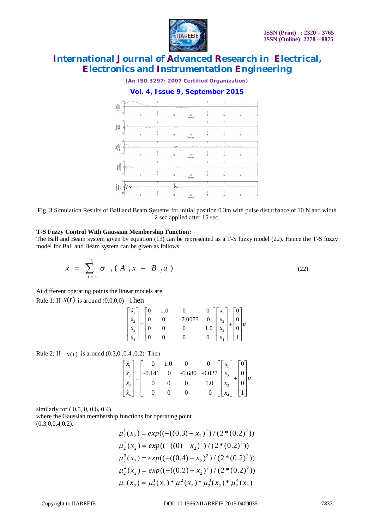

*(An ISO 3297: 2007 Certified Organization)*

## **Vol. 4, Issue 9, September 2015**



Fig. 3 Simulation Results of Ball and Beam Systems for initial position 0.3m with pulse disturbance of 10 N and width 2 sec applied after 15 sec.

#### **T-S Fuzzy Control With Gaussian Membership Function:**

The Ball and Beam system given by equation (13) can be represented as a T-S fuzzy model (22). Hence the T-S fuzzy model for Ball and Beam system can be given as follows:

$$
\dot{x} = \sum_{j=1}^{3} \sigma_{j} (A_{j} x + B_{j} u) \tag{22}
$$

At different operating points the linear models are

Rule 1: If  $x(t)$  is around (0,0,0,0) Then

$$
\begin{bmatrix} \dot{x}_1 \\ \dot{x}_2 \\ \dot{x}_3 \\ \dot{x}_4 \end{bmatrix} = \begin{bmatrix} 0 & 1.0 & 0 & 0 \\ 0 & 0 & -7.0073 & 0 \\ 0 & 0 & 0 & 1.0 \\ 0 & 0 & 0 & 0 \end{bmatrix} \begin{bmatrix} x_1 \\ x_2 \\ x_3 \\ x_4 \end{bmatrix} + \begin{bmatrix} 0 \\ 0 \\ 0 \\ 1 \end{bmatrix} u
$$

Rule 2: If  $x(t)$  is around (0.3,0,0,4,0.2) Then

$$
\begin{bmatrix} \dot{x}_1 \\ \dot{x}_2 \\ \dot{x}_3 \\ \dot{x}_4 \end{bmatrix} = \begin{bmatrix} 0 & 1.0 & 0 & 0 \\ -0.141 & 0 & -6.680 & -0.027 \\ 0 & 0 & 0 & 1.0 \\ 0 & 0 & 0 & 0 \end{bmatrix} \begin{bmatrix} x_1 \\ x_2 \\ x_3 \\ x_4 \end{bmatrix} + \begin{bmatrix} 0 \\ 0 \\ 0 \\ 1 \end{bmatrix} u
$$

similarly for ( 0.5, 0, 0.6, 0.4).

where the Gaussian membership functions for operating point  $(0.3,0,0.4,0.2).$ 

$$
\mu_2^1(x_2) = exp((-((0.3) - x_2)^2) / (2 * (0.2)^2))
$$
  
\n
$$
\mu_2^2(x_2) = exp((-((0.3) - x_2)^2) / (2 * (0.2)^2))
$$
  
\n
$$
\mu_2^3(x_2) = exp((-((0.4) - x_2)^2) / (2 * (0.2)^2))
$$
  
\n
$$
\mu_2^4(x_2) = exp((-((0.2) - x_2)^2) / (2 * (0.2)^2))
$$
  
\n
$$
\mu_2(x_2) = \mu_2^1(x_2) * \mu_2^2(x_2) * \mu_2^3(x_2) * \mu_2^4(x_2)
$$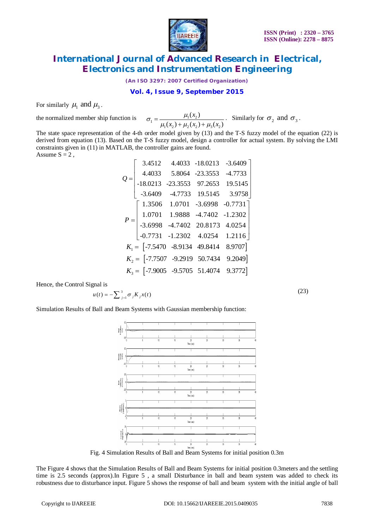

*(An ISO 3297: 2007 Certified Organization)*

### **Vol. 4, Issue 9, September 2015**

For similarly  $\mu_1$  and  $\mu_3$ .

the normalized member ship function is

 $\mu_1 = \frac{\mu_1(\lambda_2)}{\mu_1(\lambda_2)}$  $1^{(1)}2^{1}$   $\mu_2^{(2)}$   $\mu_3^{(3)}$  $(x_2)$  $(x_2) + \mu_2(x_2) + \mu_3(x_2)$ *x*  $x_2$ ) +  $\mu_2(x_2)$  +  $\mu_3(x_2)$  $\sigma_1 = \frac{\mu_1(x_2)}{\mu_1(x_2) + \mu_2(x_2) + \mu_3}$  $=$  $\frac{\mu_1(x_2)}{\mu_2(x_2) + \mu_3(x_2)}$ . Similarly for  $\sigma_2$  and  $\sigma_3$ .

The state space representation of the 4-th order model given by (13) and the T-S fuzzy model of the equation (22) is derived from equation (13). Based on the T-S fuzzy model, design a controller for actual system. By solving the LMI constraints given in (11) in MATLAB, the controller gains are found. Assume  $S = 2$ ,

|       | 3.4512                                        | 4.4033          | $-18.0213$ | $-3.6409$   |  |
|-------|-----------------------------------------------|-----------------|------------|-------------|--|
| $Q =$ | 4.4033                                        | 5.8064          | $-23.3553$ | $-4.7733$   |  |
|       | $-18.0213$                                    | $-23.3553$      | 97.2653    | 19.5145     |  |
|       | $-3.6409$                                     | $-4.7733$       | 19.5145    | 3.9758      |  |
|       | 1.3506                                        | 1.0701          | $-3.6998$  | $-0.7731$ ] |  |
|       | 1.0701                                        | 1.9888          | $-4.7402$  | $-1.2302$   |  |
|       | $-3.6998$                                     | $-4.7402$       | 20.8173    | 4.0254      |  |
|       | $-0.7731 -1.2302 -4.0254$                     |                 |            | 1.2116      |  |
|       | $K_1 = \begin{bmatrix} -7.5470 \end{bmatrix}$ | -8.9134 49.8414 |            | 8.9707]     |  |
|       | $K_2 =$ [-7.7507 -9.2919 50.7434              |                 |            | 9.2049]     |  |
|       | $K_3 =$ [-7.9005 -9.5705 51.4074              |                 |            | 9.3772]     |  |

Hence, the Control Signal is

$$
u(t) = -\sum_{j=1}^{3} \sigma_j K_j x(t)
$$

 $(23)$ 

Simulation Results of Ball and Beam Systems with Gaussian membership function:



Fig. 4 Simulation Results of Ball and Beam Systems for initial position 0.3m

The Figure 4 shows that the Simulation Results of Ball and Beam Systems for initial position 0.3meters and the settling time is 2.5 seconds (approx).In Figure 5 , a small Disturbance in ball and beam system was added to check its robustness due to disturbance input. Figure 5 shows the response of ball and beam system with the initial angle of ball